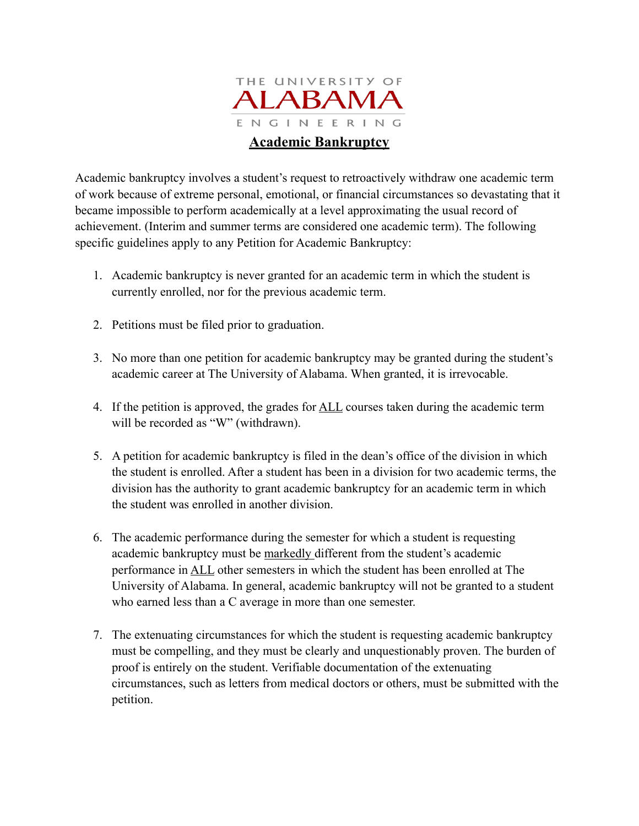

Academic bankruptcy involves a student's request to retroactively withdraw one academic term of work because of extreme personal, emotional, or financial circumstances so devastating that it became impossible to perform academically at a level approximating the usual record of achievement. (Interim and summer terms are considered one academic term). The following specific guidelines apply to any Petition for Academic Bankruptcy:

- 1. Academic bankruptcy is never granted for an academic term in which the student is currently enrolled, nor for the previous academic term.
- 2. Petitions must be filed prior to graduation.
- 3. No more than one petition for academic bankruptcy may be granted during the student's academic career at The University of Alabama. When granted, it is irrevocable.
- 4. If the petition is approved, the grades for ALL courses taken during the academic term will be recorded as "W" (withdrawn).
- 5. A petition for academic bankruptcy is filed in the dean's office of the division in which the student is enrolled. After a student has been in a division for two academic terms, the division has the authority to grant academic bankruptcy for an academic term in which the student was enrolled in another division.
- 6. The academic performance during the semester for which a student is requesting academic bankruptcy must be markedly different from the student's academic performance in ALL other semesters in which the student has been enrolled at The University of Alabama. In general, academic bankruptcy will not be granted to a student who earned less than a C average in more than one semester.
- 7. The extenuating circumstances for which the student is requesting academic bankruptcy must be compelling, and they must be clearly and unquestionably proven. The burden of proof is entirely on the student. Verifiable documentation of the extenuating circumstances, such as letters from medical doctors or others, must be submitted with the petition.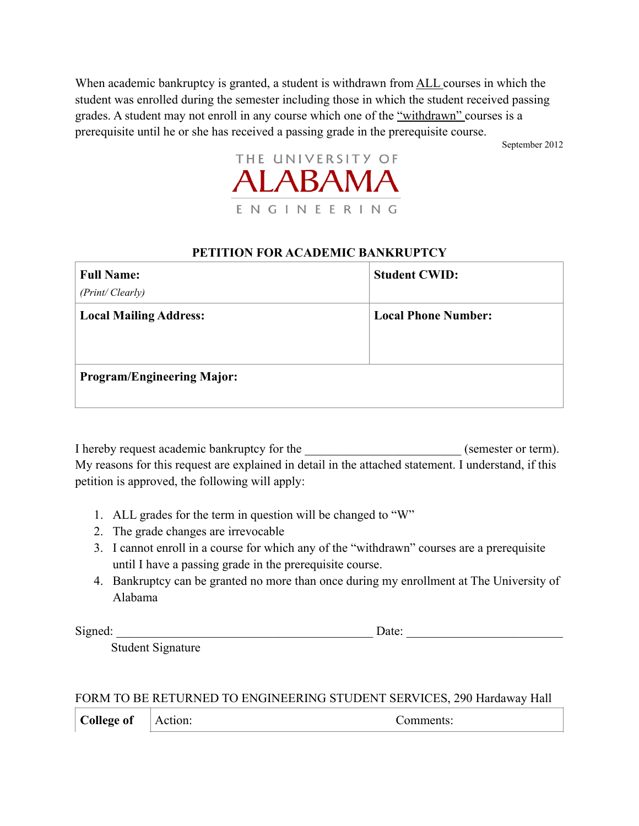When academic bankruptcy is granted, a student is withdrawn from **ALL** courses in which the student was enrolled during the semester including those in which the student received passing grades. A student may not enroll in any course which one of the "withdrawn" courses is a prerequisite until he or she has received a passing grade in the prerequisite course.

September 2012



## **PETITION FOR ACADEMIC BANKRUPTCY**

| <b>Full Name:</b>                 | <b>Student CWID:</b>       |
|-----------------------------------|----------------------------|
| (Print/Clearly)                   |                            |
| <b>Local Mailing Address:</b>     | <b>Local Phone Number:</b> |
|                                   |                            |
|                                   |                            |
| <b>Program/Engineering Major:</b> |                            |
|                                   |                            |

I hereby request academic bankruptcy for the  $($ semester or term). My reasons for this request are explained in detail in the attached statement. I understand, if this petition is approved, the following will apply:

- 1. ALL grades for the term in question will be changed to "W"
- 2. The grade changes are irrevocable
- 3. I cannot enroll in a course for which any of the "withdrawn" courses are a prerequisite until I have a passing grade in the prerequisite course.
- 4. Bankruptcy can be granted no more than once during my enrollment at The University of Alabama

Signed: \_\_\_\_\_\_\_\_\_\_\_\_\_\_\_\_\_\_\_\_\_\_\_\_\_\_\_\_\_\_\_\_\_\_\_\_\_\_\_\_\_ Date: \_\_\_\_\_\_\_\_\_\_\_\_\_\_\_\_\_\_\_\_\_\_\_\_\_

Student Signature

FORM TO BE RETURNED TO ENGINEERING STUDENT SERVICES, 290 Hardaway Hall

**College of** 

Action: Comments: